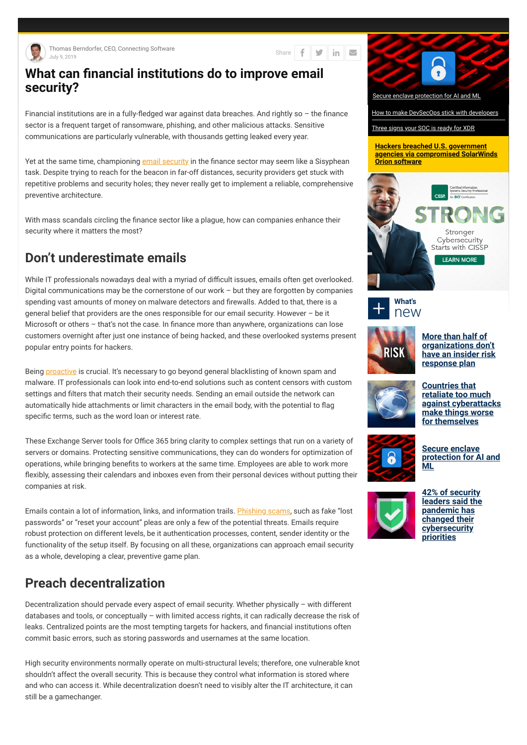

Thomas Berndorfer, CEO, Connecting Software July 9, 2019

in  $\vert \triangleright$ y Share |

## **What can financial institutions do to improve email security?**

Financial institutions are in a fully-fledged war against data breaches. And rightly so  $-$  the finance sector is a frequent target of ransomware, phishing, and other malicious attacks. Sensitive communications are particularly vulnerable, with thousands getting leaked every year.

Yet at the same time, championing email security in the finance sector may seem like a Sisyphean task. Despite trying to reach for the beacon in far-off distances, security providers get stuck with repetitive problems and security holes; they never really get to implement a reliable, comprehensive preventive architecture.

With mass scandals circling the finance sector like a plague, how can companies enhance their security where it matters the most?

While IT professionals nowadays deal with a myriad of difficult issues, emails often get overlooked. Digital communications may be the cornerstone of our work – but they are forgotten by companies spending vast amounts of money on malware detectors and firewalls. Added to that, there is a general belief that providers are the ones responsible for our email security. However – be it Microsoft or others  $-$  that's not the case. In finance more than anywhere, organizations can lose customers overnight after just one instance of being hacked, and these overlooked systems present popular entry points for hackers.

Being **proactive** is crucial. It's necessary to go beyond general blacklisting of known spam and malware. IT professionals can look into end-to-end solutions such as content censors with custom settings and filters that match their security needs. Sending an email outside the network can automatically hide attachments or limit characters in the email body, with the potential to flag specific terms, such as the word loan or interest rate.

# **Don't underestimate emails**

These Exchange Server tools for Office 365 bring clarity to complex settings that run on a variety of servers or domains. Protecting sensitive communications, they can do wonders for optimization of operations, while bringing benefits to workers at the same time. Employees are able to work more flexibly, assessing their calendars and inboxes even from their personal devices without putting their companies at risk.

Emails contain a lot of information, links, and information trails. Phishing scams, such as fake "lost passwords" or "reset your account" pleas are only a few of the potential threats. Emails require robust protection on different levels, be it authentication processes, content, sender identity or the functionality of the setup itself. By focusing on all these, organizations can approach email security as a whole, developing a clear, preventive game plan.



### **Preach decentralization**

Decentralization should pervade every aspect of email security. Whether physically – with different databases and tools, or conceptually – with limited access rights, it can radically decrease the risk of leaks. Centralized points are the most tempting targets for hackers, and financial institutions often commit basic errors, such as storing passwords and usernames at the same location.

High security environments normally operate on multi-structural levels; therefore, one vulnerable knot shouldn't affect the overall security. This is because they control what information is stored where and who can access it. While decentralization doesn't need to visibly alter the IT architecture, it can still be a gamechanger.

**Hackers breached U.S. government agencies via compromised SolarWinds Orion software**



How to make DevSecOps stick with developers

Three signs your SOC is ready for XDR





**More than half of organizations don't have an insider risk response plan**



**Countries that retaliate too much against cyberattacks make things worse for themselves**



**Secure enclave protection for AI and ML**



**42% of security leaders said the pandemic has changed their cybersecurity priorities**

Secure enclave protection for AI and ML